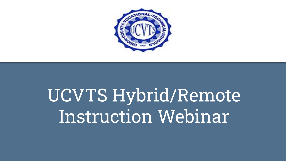

# UCVTS Hybrid/Remote Instruction Webinar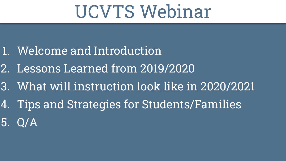## UCVTS Webinar

- 1. Welcome and Introduction
- 2. Lessons Learned from 2019/2020
- 3. What will instruction look like in 2020/2021
- 4. Tips and Strategies for Students/Families
- 5. Q/A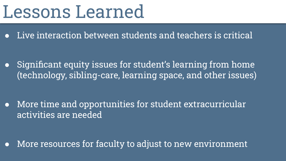## Lessons Learned

Live interaction between students and teachers is critical

● Significant equity issues for student's learning from home (technology, sibling-care, learning space, and other issues)

● More time and opportunities for student extracurricular activities are needed

● More resources for faculty to adjust to new environment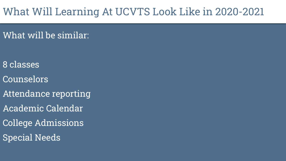#### What Will Learning At UCVTS Look Like in 2020-2021

What will be similar:

- 8 classes
- Counselors
- Attendance reporting
- Academic Calendar
- College Admissions
- Special Needs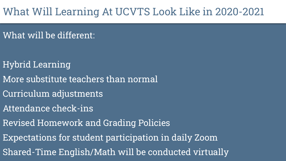#### What Will Learning At UCVTS Look Like in 2020-2021

What will be different:

- Hybrid Learning
- More substitute teachers than normal
- Curriculum adjustments
- Attendance check-ins
- Revised Homework and Grading Policies
- Expectations for student participation in daily Zoom
- Shared-Time English/Math will be conducted virtually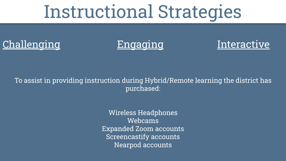## Instructional Strategies

### Challenging Engaging Interactive





#### To assist in providing instruction during Hybrid/Remote learning the district has purchased:

Wireless Headphones Webcams Expanded Zoom accounts Screencastify accounts Nearpod accounts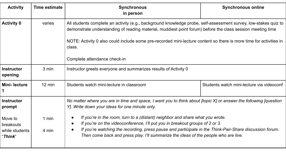| <b>Activity</b>                                                       | Time estimate    | <b>Synchronous</b><br>in person                                                                                                                                                                                                                                                                                                                                                                                                                                             | <b>Synchronous online</b>                 |  |
|-----------------------------------------------------------------------|------------------|-----------------------------------------------------------------------------------------------------------------------------------------------------------------------------------------------------------------------------------------------------------------------------------------------------------------------------------------------------------------------------------------------------------------------------------------------------------------------------|-------------------------------------------|--|
| <b>Activity 0</b>                                                     | varies           | All students complete an activity (e.g., background knowledge probe, self-assessment survey, low-stakes quiz to<br>demonstrate understanding of reading material, muddiest point forum) before the class session meeting time<br>NOTE: Activity 0 also could include some pre-recorded mini-lecture content so there is more time for activities in<br>class.                                                                                                               |                                           |  |
|                                                                       |                  | Complete attendance check-in                                                                                                                                                                                                                                                                                                                                                                                                                                                |                                           |  |
| <b>Instructor</b><br>opening                                          | 3 min            | Instructor greets everyone and summarizes results of Activity 0                                                                                                                                                                                                                                                                                                                                                                                                             |                                           |  |
| <b>Mini-lecture</b>                                                   | $12 \text{ min}$ | Students watch mini-lecture in classroom                                                                                                                                                                                                                                                                                                                                                                                                                                    | Students watch mini-lecture via videoconf |  |
| <b>Instructor</b><br>prompt<br>Move to<br>breakouts<br>while students | 1 min<br>4 min   | No matter where you are in time and space, I want you to think about [topic $X$ ] or answer the following [question<br>Y]. Write down your ideas for one minute only.<br>If you're in the room, turn to a (distant) neighbor and share what you wrote.<br>$\bullet$<br>If you're on the videoconference, I'll put you in breakout groups of 2 or 3.<br>$\bullet$<br>If you're watching the recording, press pause and participate in the Think-Pair-Share discussion forum. |                                           |  |
| "Think"                                                               |                  | Then come back and press play. I'll summarize the ideas of the people who are live.                                                                                                                                                                                                                                                                                                                                                                                         |                                           |  |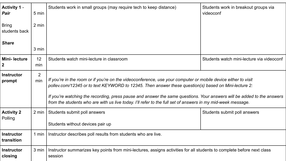| <b>Activity 1 -</b><br>Pair     | 5 min                 | Students work in small groups (may require tech to keep distance)                                                                                                                                                                                                                                                                                                                                                                                              | Students work in breakout groups via<br>videoconf |
|---------------------------------|-----------------------|----------------------------------------------------------------------------------------------------------------------------------------------------------------------------------------------------------------------------------------------------------------------------------------------------------------------------------------------------------------------------------------------------------------------------------------------------------------|---------------------------------------------------|
| <b>Bring</b><br>students back   | 2 min                 |                                                                                                                                                                                                                                                                                                                                                                                                                                                                |                                                   |
| <b>Share</b>                    | 3 min                 |                                                                                                                                                                                                                                                                                                                                                                                                                                                                |                                                   |
| <b>Mini-lecture</b><br>2        | 12<br>min             | Students watch mini-lecture in classroom                                                                                                                                                                                                                                                                                                                                                                                                                       | Students watch mini-lecture via videoconf         |
| <b>Instructor</b><br>prompt     | $\overline{2}$<br>min | If you're in the room or if you're on the videoconference, use your computer or mobile device either to visit<br>pollev.com/12345 or to text KEYWORD to 12345. Then answer these question(s) based on Mini-lecture 2:<br>If you're watching the recording, press pause and answer the same questions. Your answers will be added to the answers<br>from the students who are with us live today. I'll refer to the full set of answers in my mid-week message. |                                                   |
| <b>Activity 2</b><br>Polling    | 2 min                 | Students submit poll answers<br>Students without devices pair up                                                                                                                                                                                                                                                                                                                                                                                               | Students submit poll answers                      |
| <b>Instructor</b><br>transition | 1 min                 | Instructor describes poll results from students who are live.                                                                                                                                                                                                                                                                                                                                                                                                  |                                                   |
| <b>Instructor</b><br>closing    | 3 min                 | Instructor summarizes key points from mini-lectures, assigns activities for all students to complete before next class<br>session                                                                                                                                                                                                                                                                                                                              |                                                   |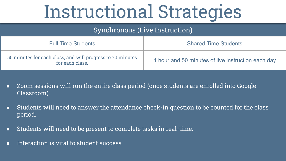# Instructional Strategies

| Synchronous (Live Instruction)                                                |                                                    |  |
|-------------------------------------------------------------------------------|----------------------------------------------------|--|
| <b>Full Time Students</b>                                                     | <b>Shared-Time Students</b>                        |  |
| 50 minutes for each class, and will progress to 70 minutes<br>for each class. | 1 hour and 50 minutes of live instruction each day |  |

- Zoom sessions will run the entire class period (once students are enrolled into Google Classroom).
- Students will need to answer the attendance check-in question to be counted for the class period.
- Students will need to be present to complete tasks in real-time.
- Interaction is vital to student success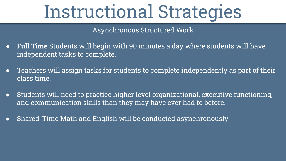# Instructional Strategies

Asynchronous Structured Work

- **Full Time** Students will begin with 90 minutes a day where students will have independent tasks to complete.
- Teachers will assign tasks for students to complete independently as part of their class time.
- Students will need to practice higher level organizational, executive functioning, and communication skills than they may have ever had to before.
- Shared-Time Math and English will be conducted asynchronously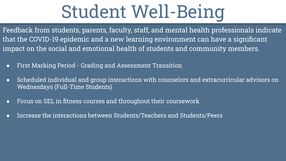# Student Well-Being

Feedback from students, parents, faculty, staff, and mental health professionals indicate that the COVID-19 epidemic and a new learning environment can have a significant impact on the social and emotional health of students and community members.

- First Marking Period Grading and Assessment Transition
- Scheduled individual and group interactions with counselors and extracurricular advisors on Wednesdays (Full-Time Students)
- Focus on SEL in fitness courses and throughout their coursework
- Increase the interactions between Students/Teachers and Students/Peers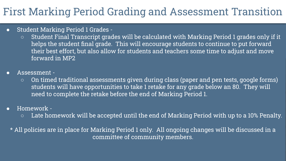#### First Marking Period Grading and Assessment Transition

#### ● Student Marking Period 1 Grades -

- Student Final Transcript grades will be calculated with Marking Period 1 grades only if it helps the student final grade. This will encourage students to continue to put forward their best effort, but also allow for students and teachers some time to adjust and move forward in MP2
- Assessment -
	- On timed traditional assessments given during class (paper and pen tests, google forms) students will have opportunities to take 1 retake for any grade below an 80. They will need to complete the retake before the end of Marking Period 1.
- Homework
	- $\circ$  Late homework will be accepted until the end of Marking Period with up to a 10% Penalty.
	- \* All policies are in place for Marking Period 1 only. All ongoing changes will be discussed in a committee of community members.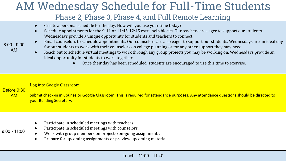#### AM Wednesday Schedule for Full-Time Students Phase 2, Phase 3, Phase 4, and Full Remote Learning

| $8:00 - 9:00$<br><b>AM</b> | Create a personal schedule for the day. How will you use your time today?<br>Schedule appointments for the 9-11 or 11:45-12:45 extra help blocks. Our teachers are eager to support our students.<br>Wednesdays provide a unique opportunity for students and teachers to connect.<br>Email counselors to schedule appointments. Our counselors are also eager to support our students. Wednesdays are an ideal day<br>for our students to work with their counselors on college planning or for any other support they may need.<br>Reach out to schedule virtual meetings to work through any group projects you may be working on. Wednesdays provide an<br>ideal opportunity for students to work together.<br>Once their day has been scheduled, students are encouraged to use this time to exercise. |  |
|----------------------------|-------------------------------------------------------------------------------------------------------------------------------------------------------------------------------------------------------------------------------------------------------------------------------------------------------------------------------------------------------------------------------------------------------------------------------------------------------------------------------------------------------------------------------------------------------------------------------------------------------------------------------------------------------------------------------------------------------------------------------------------------------------------------------------------------------------|--|
| Before 9:30<br><b>AM</b>   | Log into Google Classroom<br>Submit check-in in Counselor Google Classroom. This is required for attendance purposes. Any attendance questions should be directed to<br>your Building Secretary.                                                                                                                                                                                                                                                                                                                                                                                                                                                                                                                                                                                                            |  |
| $9:00 - 11:00$             | Participate in scheduled meetings with teachers.<br>Participate in scheduled meetings with counselors.<br>Work with group members on projects/on-going assignments.<br>Prepare for upcoming assignments or preview upcoming material.                                                                                                                                                                                                                                                                                                                                                                                                                                                                                                                                                                       |  |
| Lunch - 11:00 - 11:40      |                                                                                                                                                                                                                                                                                                                                                                                                                                                                                                                                                                                                                                                                                                                                                                                                             |  |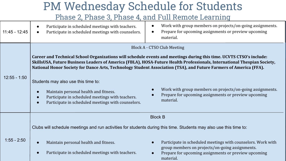### PM Wednesday Schedule for Students

Phase 2, Phase 3, Phase 4, and Full Remote Learning

| 11:45 - 12:45  | Participate in scheduled meetings with teachers.<br>Participate in scheduled meetings with counselors.                                                                                                          | Work with group members on projects/on-going assignments.<br>$\bullet$<br>Prepare for upcoming assignments or preview upcoming<br>$\bullet$<br>material.                                                                                                                                                                                                                                                                                                                                                                                          |
|----------------|-----------------------------------------------------------------------------------------------------------------------------------------------------------------------------------------------------------------|---------------------------------------------------------------------------------------------------------------------------------------------------------------------------------------------------------------------------------------------------------------------------------------------------------------------------------------------------------------------------------------------------------------------------------------------------------------------------------------------------------------------------------------------------|
| $12:55 - 1:50$ | Students may also use this time to:<br>Maintain personal health and fitness.<br>Participate in scheduled meetings with teachers.<br>Participate in scheduled meetings with counselors.                          | Block A - CTSO Club Meeting<br>Career and Technical School Organizations will schedule events and meetings during this time. UCVTS CTSO's include:<br>SkillsUSA, Future Business Leaders of America (FBLA), HOSA-Future Health Professionals, International Thespian Society,<br>National Honor Society for Dance Arts, Technology Student Association (TSA), and Future Farmers of America (FFA).<br>Work with group members on projects/on-going assignments.<br>$\bullet$<br>Prepare for upcoming assignments or preview upcoming<br>material. |
| $1:55 - 2:50$  | Clubs will schedule meetings and run activities for students during this time. Students may also use this time to:<br>Maintain personal health and fitness.<br>Participate in scheduled meetings with teachers. | <b>Block B</b><br>Participate in scheduled meetings with counselors. Work with<br>$\bullet$<br>group members on projects/on-going assignments.<br>Prepare for upcoming assignments or preview upcoming<br>material.                                                                                                                                                                                                                                                                                                                               |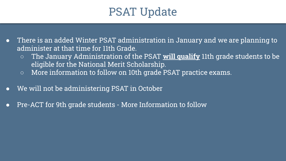### PSAT Update

- There is an added Winter PSAT administration in January and we are planning to administer at that time for 11th Grade.
	- The January Administration of the PSAT **will qualify** 11th grade students to be eligible for the National Merit Scholarship.
	- More information to follow on 10th grade PSAT practice exams.
- We will not be administering PSAT in October
- Pre-ACT for 9th grade students More Information to follow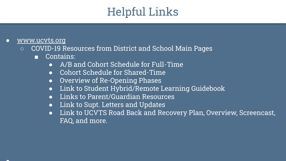## Helpful Links

- [www.ucvts.org](http://www.ucvts.org)
	- COVID-19 Resources from District and School Main Pages
		- Contains:
			- A/B and Cohort Schedule for Full-Time
			- Cohort Schedule for Shared-Time
			- Overview of Re-Opening Phases
			- Link to Student Hybrid/Remote Learning Guidebook
			- Links to Parent/Guardian Resources
			- Link to Supt. Letters and Updates
			- Link to UCVTS Road Back and Recovery Plan, Overview, Screencast, FAQ, and more.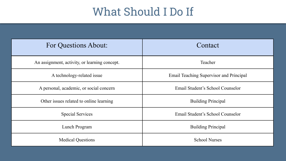### What Should I Do If

| For Questions About:                          | Contact                                 |
|-----------------------------------------------|-----------------------------------------|
| An assignment, activity, or learning concept. | Teacher                                 |
| A technology-related issue                    | Email Teaching Supervisor and Principal |
| A personal, academic, or social concern       | Email Student's School Counselor        |
| Other issues related to online learning       | <b>Building Principal</b>               |
| <b>Special Services</b>                       | Email Student's School Counselor        |
| Lunch Program                                 | <b>Building Principal</b>               |
| <b>Medical Questions</b>                      | <b>School Nurses</b>                    |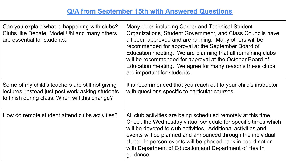#### **Q/A from September 15th with Answered Questions**

| Can you explain what is happening with clubs?<br>Clubs like Debate, Model UN and many others<br>are essential for students.                            | Many clubs including Career and Technical Student<br>Organizations, Student Government, and Class Councils have<br>all been approved and are running. Many others will be<br>recommended for approval at the September Board of<br>Education meeting. We are planning that all remaining clubs<br>will be recommended for approval at the October Board of<br>Education meeting. We agree for many reasons these clubs<br>are important for students. |
|--------------------------------------------------------------------------------------------------------------------------------------------------------|-------------------------------------------------------------------------------------------------------------------------------------------------------------------------------------------------------------------------------------------------------------------------------------------------------------------------------------------------------------------------------------------------------------------------------------------------------|
| Some of my child's teachers are still not giving<br>lectures, instead just post work asking students<br>to finish during class. When will this change? | It is recommended that you reach out to your child's instructor<br>with questions specific to particular courses.                                                                                                                                                                                                                                                                                                                                     |
| How do remote student attend clubs activities?                                                                                                         | All club activities are being scheduled remotely at this time.<br>Check the Wednesday virtual schedule for specific times which<br>will be devoted to club activities. Additional activities and<br>events will be planned and announced through the individual<br>clubs. In person events will be phased back in coordination<br>with Department of Education and Department of Health<br>guidance.                                                  |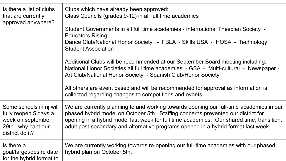| Is there a list of clubs<br>that are currently<br>approved anywhere?                                            | Clubs which have already been approved:<br>Class Councils (grades 9-12) in all full time academies<br>Student Governments in all full time academies - International Thesbian Society -<br><b>Educators Rising</b><br>Dance Club/National Honor Society - FBLA - Skills USA - HOSA - Technology<br><b>Student Association</b><br>Additional Clubs will be recommended at our September Board meeting including:<br>National Honor Societies all full time academies - GSA - Multi-cultural - Newspaper -<br>Art Club/National Honor Society - Spanish Club/Honor Society |
|-----------------------------------------------------------------------------------------------------------------|--------------------------------------------------------------------------------------------------------------------------------------------------------------------------------------------------------------------------------------------------------------------------------------------------------------------------------------------------------------------------------------------------------------------------------------------------------------------------------------------------------------------------------------------------------------------------|
|                                                                                                                 | All others are event based and will be recommended for approval as information is<br>collected regarding changes to competitions and events.                                                                                                                                                                                                                                                                                                                                                                                                                             |
| Some schools in nj will<br>fully reopen 5 days a<br>week on september<br>29th . why cant our<br>district do it? | We are currently planning to and working towards opening our full-time academies in our<br>phased hybrid model on October 5th. Staffing concerns prevented our district for<br>opening in a hybrid model last week for full time academies. Our shared time, transition,<br>adult post-secondary and alternative programs opened in a hybrid format last week.                                                                                                                                                                                                           |
| Is there a<br>goal/target/desire date<br>for the hybrid format to                                               | We are currently working towards re-opening our full-time academies with our phased<br>hybrid plan on October 5th.                                                                                                                                                                                                                                                                                                                                                                                                                                                       |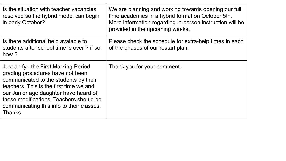| Is the situation with teacher vacancies<br>resolved so the hybrid model can begin<br>in early October?                                                                                                                                                                                                          | We are planning and working towards opening our full<br>time academies in a hybrid format on October 5th.<br>More information regarding in-person instruction will be<br>provided in the upcoming weeks. |
|-----------------------------------------------------------------------------------------------------------------------------------------------------------------------------------------------------------------------------------------------------------------------------------------------------------------|----------------------------------------------------------------------------------------------------------------------------------------------------------------------------------------------------------|
| Is there additional help avaiable to<br>students after school time is over? if so,<br>how?                                                                                                                                                                                                                      | Please check the schedule for extra-help times in each<br>of the phases of our restart plan.                                                                                                             |
| Just an fyi- the First Marking Period<br>grading procedures have not been<br>communicated to the students by their<br>teachers. This is the first time we and<br>our Junior age daughter have heard of<br>these modifications. Teachers should be<br>communicating this info to their classes.<br><b>Thanks</b> | Thank you for your comment.                                                                                                                                                                              |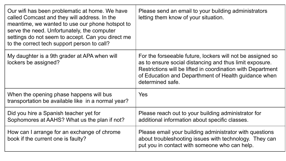| Our wifi has been problematic at home. We have<br>called Comcast and they will address. In the<br>meantime, we wanted to use our phone hotspot to<br>serve the need. Unfortunately, the computer<br>settings do not seem to accept. Can you direct me<br>to the correct tech support person to call? | Please send an email to your building administrators<br>letting them know of your situation.                                                                                                                                                                     |
|------------------------------------------------------------------------------------------------------------------------------------------------------------------------------------------------------------------------------------------------------------------------------------------------------|------------------------------------------------------------------------------------------------------------------------------------------------------------------------------------------------------------------------------------------------------------------|
| My daughter is a 9th grader at APA when will<br>lockers be assigned?                                                                                                                                                                                                                                 | For the forseeable future, lockers will not be assigned so<br>as to ensure social distancing and thus limit exposure.<br>Restrictions will be lifted in coordination with Department<br>of Education and Departhment of Health guidance when<br>determined safe. |
| When the opening phase happens will bus<br>transportation be available like in a normal year?                                                                                                                                                                                                        | Yes                                                                                                                                                                                                                                                              |
| Did you hire a Spanish teacher yet for<br>Sophomores at AAHS? What us the plan if not?                                                                                                                                                                                                               | Please reach out to your building administrator for<br>additional information about specific classes.                                                                                                                                                            |
| How can I arrange for an exchange of chrome<br>book if the current one is faulty?                                                                                                                                                                                                                    | Please email your building administrator with questions<br>about troubleshooting issues with technology. They can<br>put you in contact with someone who can help.                                                                                               |